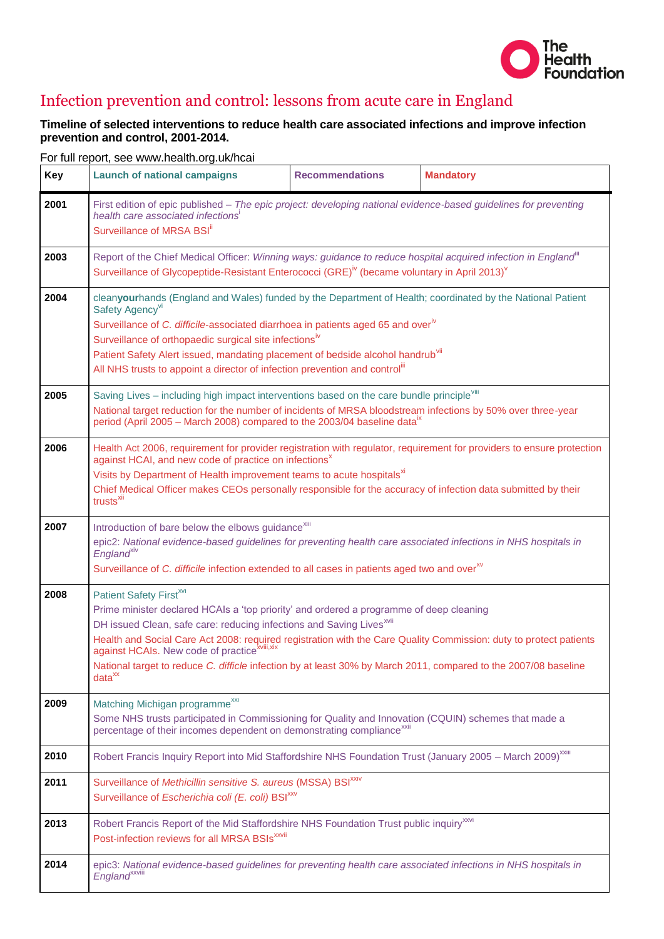

## Infection prevention and control: lessons from acute care in England

## **Timeline of selected interventions to reduce health care associated infections and improve infection prevention and control, 2001-2014.**

| Key  | <b>Launch of national campaigns</b>                                                                                                                                                                                                                                                                                                                                                                                                                                                                                                          | <b>Recommendations</b> | <b>Mandatory</b> |
|------|----------------------------------------------------------------------------------------------------------------------------------------------------------------------------------------------------------------------------------------------------------------------------------------------------------------------------------------------------------------------------------------------------------------------------------------------------------------------------------------------------------------------------------------------|------------------------|------------------|
| 2001 | First edition of epic published - The epic project: developing national evidence-based guidelines for preventing<br>health care associated infections'<br>Surveillance of MRSA BSI <sup>ii</sup>                                                                                                                                                                                                                                                                                                                                             |                        |                  |
| 2003 | Report of the Chief Medical Officer: Winning ways: guidance to reduce hospital acquired infection in England"<br>Surveillance of Glycopeptide-Resistant Enterococci (GRE) <sup>iv</sup> (became voluntary in April 2013) <sup>v</sup>                                                                                                                                                                                                                                                                                                        |                        |                  |
| 2004 | cleanyourhands (England and Wales) funded by the Department of Health; coordinated by the National Patient<br>Safety Agency <sup>vi</sup><br>Surveillance of C. difficile-associated diarrhoea in patients aged 65 and overiv<br>Surveillance of orthopaedic surgical site infectionsiv<br>Patient Safety Alert issued, mandating placement of bedside alcohol handrub <sup>VII</sup><br>All NHS trusts to appoint a director of infection prevention and control"                                                                           |                        |                  |
| 2005 | Saving Lives - including high impact interventions based on the care bundle principle <sup>viii</sup><br>National target reduction for the number of incidents of MRSA bloodstream infections by 50% over three-year<br>period (April 2005 – March 2008) compared to the 2003/04 baseline data <sup>1x</sup>                                                                                                                                                                                                                                 |                        |                  |
| 2006 | Health Act 2006, requirement for provider registration with regulator, requirement for providers to ensure protection<br>against HCAI, and new code of practice on infections <sup>x</sup><br>Visits by Department of Health improvement teams to acute hospitals <sup>xi</sup><br>Chief Medical Officer makes CEOs personally responsible for the accuracy of infection data submitted by their<br>trusts <sup>xii</sup>                                                                                                                    |                        |                  |
| 2007 | Introduction of bare below the elbows guidance <sup>xiii</sup><br>epic2: National evidence-based guidelines for preventing health care associated infections in NHS hospitals in<br>England <sup>xiv</sup><br>Surveillance of C. difficile infection extended to all cases in patients aged two and over <sup>xv</sup>                                                                                                                                                                                                                       |                        |                  |
| 2008 | Patient Safety First <sup>xvi</sup><br>Prime minister declared HCAIs a 'top priority' and ordered a programme of deep cleaning<br>DH issued Clean, safe care: reducing infections and Saving Lives <sup>xvii</sup><br>Health and Social Care Act 2008: required registration with the Care Quality Commission: duty to protect patients<br>against HCAIs. New code of practice <sup>xviii,xix</sup><br>National target to reduce C. difficle infection by at least 30% by March 2011, compared to the 2007/08 baseline<br>data <sup>xx</sup> |                        |                  |
| 2009 | Matching Michigan programme <sup>xxi</sup><br>Some NHS trusts participated in Commissioning for Quality and Innovation (CQUIN) schemes that made a<br>percentage of their incomes dependent on demonstrating compliance <sup>xxii</sup>                                                                                                                                                                                                                                                                                                      |                        |                  |
| 2010 | Robert Francis Inquiry Report into Mid Staffordshire NHS Foundation Trust (January 2005 - March 2009) <sup>xxiii</sup>                                                                                                                                                                                                                                                                                                                                                                                                                       |                        |                  |
| 2011 | Surveillance of Methicillin sensitive S. aureus (MSSA) BSI <sup>XXIV</sup><br>Surveillance of Escherichia coli (E. coli) BSI <sup>xxv</sup>                                                                                                                                                                                                                                                                                                                                                                                                  |                        |                  |
| 2013 | Robert Francis Report of the Mid Staffordshire NHS Foundation Trust public inquiry <sup>xxvi</sup><br>Post-infection reviews for all MRSA BSIs <sup>xxvii</sup>                                                                                                                                                                                                                                                                                                                                                                              |                        |                  |
| 2014 | epic3: National evidence-based guidelines for preventing health care associated infections in NHS hospitals in<br>England <sup>xxviii</sup>                                                                                                                                                                                                                                                                                                                                                                                                  |                        |                  |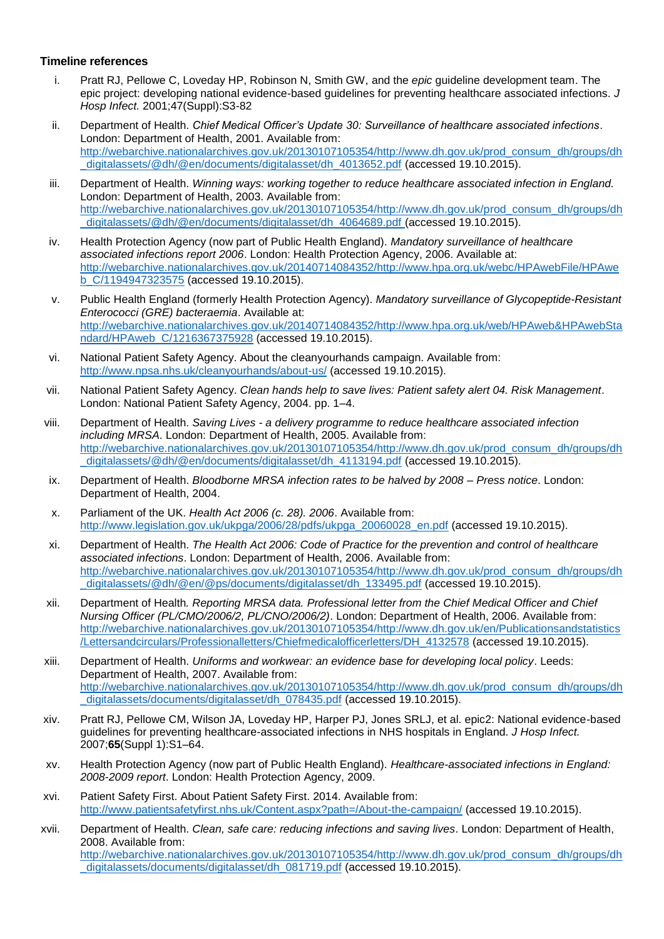## **Timeline references**

- i. Pratt RJ, Pellowe C, Loveday HP, Robinson N, Smith GW, and the *epic* guideline development team. The epic project: developing national evidence-based guidelines for preventing healthcare associated infections. *J Hosp Infect.* 2001;47(Suppl):S3-82
- ii. Department of Health. *Chief Medical Officer's Update 30: Surveillance of healthcare associated infections*. London: Department of Health, 2001. Available from: [http://webarchive.nationalarchives.gov.uk/20130107105354/http://www.dh.gov.uk/prod\\_consum\\_dh/groups/dh](http://webarchive.nationalarchives.gov.uk/20130107105354/http:/www.dh.gov.uk/prod_consum_dh/groups/dh_digitalassets/@dh/@en/documents/digitalasset/dh_4013652.pdf) [\\_digitalassets/@dh/@en/documents/digitalasset/dh\\_4013652.pdf](http://webarchive.nationalarchives.gov.uk/20130107105354/http:/www.dh.gov.uk/prod_consum_dh/groups/dh_digitalassets/@dh/@en/documents/digitalasset/dh_4013652.pdf) (accessed 19.10.2015).
- iii. Department of Health. *Winning ways: working together to reduce healthcare associated infection in England.* London: Department of Health, 2003. Available from: [http://webarchive.nationalarchives.gov.uk/20130107105354/http://www.dh.gov.uk/prod\\_consum\\_dh/groups/dh](http://webarchive.nationalarchives.gov.uk/20130107105354/http:/www.dh.gov.uk/prod_consum_dh/groups/dh_digitalassets/@dh/@en/documents/digitalasset/dh_4064689.pdf) digitalassets/@dh/@en/documents/digitalasset/dh\_4064689.pdf (accessed 19.10.2015).
- iv. Health Protection Agency (now part of Public Health England). *Mandatory surveillance of healthcare associated infections report 2006*. London: Health Protection Agency, 2006. Available at: [http://webarchive.nationalarchives.gov.uk/20140714084352/http://www.hpa.org.uk/webc/HPAwebFile/HPAwe](http://webarchive.nationalarchives.gov.uk/20140714084352/http:/www.hpa.org.uk/webc/HPAwebFile/HPAweb_C/1194947323575) [b\\_C/1194947323575](http://webarchive.nationalarchives.gov.uk/20140714084352/http:/www.hpa.org.uk/webc/HPAwebFile/HPAweb_C/1194947323575) (accessed 19.10.2015).
- v. Public Health England (formerly Health Protection Agency). *Mandatory surveillance of Glycopeptide-Resistant Enterococci (GRE) bacteraemia*. Available at: [http://webarchive.nationalarchives.gov.uk/20140714084352/http://www.hpa.org.uk/web/HPAweb&HPAwebSta](http://webarchive.nationalarchives.gov.uk/20140714084352/http:/www.hpa.org.uk/web/HPAweb&HPAwebStandard/HPAweb_C/1216367375928) [ndard/HPAweb\\_C/1216367375928](http://webarchive.nationalarchives.gov.uk/20140714084352/http:/www.hpa.org.uk/web/HPAweb&HPAwebStandard/HPAweb_C/1216367375928) (accessed 19.10.2015).
- vi. National Patient Safety Agency. About the cleanyourhands campaign. Available from: <http://www.npsa.nhs.uk/cleanyourhands/about-us/> (accessed 19.10.2015).
- vii. National Patient Safety Agency. *Clean hands help to save lives: Patient safety alert 04. Risk Management*. London: National Patient Safety Agency, 2004. pp. 1–4.
- viii. Department of Health. *Saving Lives - a delivery programme to reduce healthcare associated infection including MRSA*. London: Department of Health, 2005. Available from: [http://webarchive.nationalarchives.gov.uk/20130107105354/http://www.dh.gov.uk/prod\\_consum\\_dh/groups/dh](http://webarchive.nationalarchives.gov.uk/20130107105354/http:/www.dh.gov.uk/prod_consum_dh/groups/dh_digitalassets/@dh/@en/documents/digitalasset/dh_4113194.pdf) digitalassets/@dh/@en/documents/digitalasset/dh\_4113194.pdf (accessed 19.10.2015).
- ix. Department of Health. *Bloodborne MRSA infection rates to be halved by 2008 – Press notice*. London: Department of Health, 2004.
- x. Parliament of the UK. *Health Act 2006 (c. 28). 2006*. Available from: [http://www.legislation.gov.uk/ukpga/2006/28/pdfs/ukpga\\_20060028\\_en.pdf](http://www.legislation.gov.uk/ukpga/2006/28/pdfs/ukpga_20060028_en.pdf) (accessed 19.10.2015).
- xi. Department of Health. *The Health Act 2006: Code of Practice for the prevention and control of healthcare associated infections*. London: Department of Health, 2006. Available from: [http://webarchive.nationalarchives.gov.uk/20130107105354/http://www.dh.gov.uk/prod\\_consum\\_dh/groups/dh](http://webarchive.nationalarchives.gov.uk/20130107105354/http:/www.dh.gov.uk/prod_consum_dh/groups/dh_digitalassets/@dh/@en/@ps/documents/digitalasset/dh_133495.pdf) digitalassets/@dh/@en/@ps/documents/digitalasset/dh\_133495.pdf (accessed 19.10.2015).
- xii. Department of Health*. Reporting MRSA data. Professional letter from the Chief Medical Officer and Chief Nursing Officer (PL/CMO/2006/2, PL/CNO/2006/2)*. London: Department of Health, 2006. Available from: [http://webarchive.nationalarchives.gov.uk/20130107105354/http://www.dh.gov.uk/en/Publicationsandstatistics](http://webarchive.nationalarchives.gov.uk/20130107105354/http:/www.dh.gov.uk/en/Publicationsandstatistics/Lettersandcirculars/Professionalletters/Chiefmedicalofficerletters/DH_4132578) [/Lettersandcirculars/Professionalletters/Chiefmedicalofficerletters/DH\\_4132578](http://webarchive.nationalarchives.gov.uk/20130107105354/http:/www.dh.gov.uk/en/Publicationsandstatistics/Lettersandcirculars/Professionalletters/Chiefmedicalofficerletters/DH_4132578) (accessed 19.10.2015).
- xiii. Department of Health. *Uniforms and workwear: an evidence base for developing local policy*. Leeds: Department of Health, 2007. Available from: [http://webarchive.nationalarchives.gov.uk/20130107105354/http://www.dh.gov.uk/prod\\_consum\\_dh/groups/dh](http://webarchive.nationalarchives.gov.uk/20130107105354/http:/www.dh.gov.uk/prod_consum_dh/groups/dh_digitalassets/documents/digitalasset/dh_078435.pdf) digitalassets/documents/digitalasset/dh\_078435.pdf (accessed 19.10.2015).
- xiv. Pratt RJ, Pellowe CM, Wilson JA, Loveday HP, Harper PJ, Jones SRLJ, et al. epic2: National evidence-based guidelines for preventing healthcare-associated infections in NHS hospitals in England. *J Hosp Infect.* 2007;**65**(Suppl 1):S1–64.
- xv. Health Protection Agency (now part of Public Health England). *Healthcare-associated infections in England: 2008-2009 report*. London: Health Protection Agency, 2009.
- xvi. Patient Safety First. About Patient Safety First. 2014. Available from: <http://www.patientsafetyfirst.nhs.uk/Content.aspx?path=/About-the-campaign/> (accessed 19.10.2015).
- xvii. Department of Health. *Clean, safe care: reducing infections and saving lives*. London: Department of Health, 2008. Available from: [http://webarchive.nationalarchives.gov.uk/20130107105354/http://www.dh.gov.uk/prod\\_consum\\_dh/groups/dh](http://webarchive.nationalarchives.gov.uk/20130107105354/http:/www.dh.gov.uk/prod_consum_dh/groups/dh_digitalassets/documents/digitalasset/dh_081719.pdf) [\\_digitalassets/documents/digitalasset/dh\\_081719.pdf](http://webarchive.nationalarchives.gov.uk/20130107105354/http:/www.dh.gov.uk/prod_consum_dh/groups/dh_digitalassets/documents/digitalasset/dh_081719.pdf) (accessed 19.10.2015).